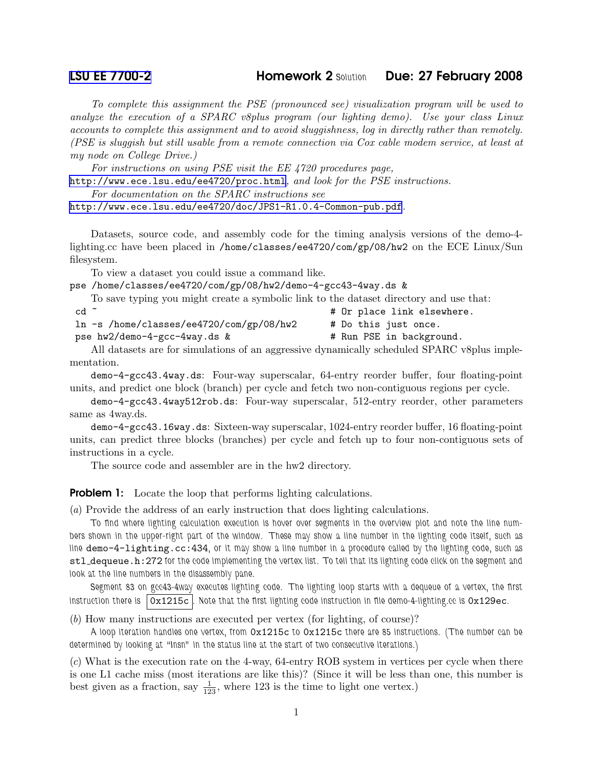## [LSU EE 7700-2](http://www.ece.lsu.edu/gp/) **Homework 2 Solution** Due: 27 February 2008

To complete this assignment the PSE (pronounced see) visualization program will be used to analyze the execution of a SPARC v8plus program (our lighting demo). Use your class Linux accounts to complete this assignment and to avoid sluggishness, log in directly rather than remotely. (PSE is sluggish but still usable from a remote connection via Cox cable modem service, at least at my node on College Drive.)

For instructions on using PSE visit the EE 4720 procedures page,

<http://www.ece.lsu.edu/ee4720/proc.html>, and look for the PSE instructions.

For documentation on the SPARC instructions see

<http://www.ece.lsu.edu/ee4720/doc/JPS1-R1.0.4-Common-pub.pdf>.

Datasets, source code, and assembly code for the timing analysis versions of the demo-4 lighting.cc have been placed in /home/classes/ee4720/com/gp/08/hw2 on the ECE Linux/Sun filesystem.

To view a dataset you could issue a command like.

pse /home/classes/ee4720/com/gp/08/hw2/demo-4-gcc43-4way.ds &

To save typing you might create a symbolic link to the dataset directory and use that:

| $cd$ $\tilde{c}$ |  |  |  |  |  | # Or place link elsewhere. |
|------------------|--|--|--|--|--|----------------------------|
|                  |  |  |  |  |  |                            |

```
ln -s /home/classes/ee4720/com/gp/08/hw2 # Do this just once.
```
pse hw2/demo-4-gcc-4way.ds & # Run PSE in background.

All datasets are for simulations of an aggressive dynamically scheduled SPARC v8plus implementation.

demo-4-gcc43.4way.ds: Four-way superscalar, 64-entry reorder buffer, four floating-point units, and predict one block (branch) per cycle and fetch two non-contiguous regions per cycle.

demo-4-gcc43.4way512rob.ds: Four-way superscalar, 512-entry reorder, other parameters same as 4way.ds.

demo-4-gcc43.16way.ds: Sixteen-way superscalar, 1024-entry reorder buffer, 16 floating-point units, can predict three blocks (branches) per cycle and fetch up to four non-contiguous sets of instructions in a cycle.

The source code and assembler are in the hw2 directory.

**Problem 1:** Locate the loop that performs lighting calculations.

(a) Provide the address of an early instruction that does lighting calculations.

To find where lighting calculation execution is hover over segments in the overview plot and note the line numbers shown in the upper-right part of the window. These may show a line number in the lighting code itself, such as line demo-4-lighting.cc:434, or it may show a line number in a procedure called by the lighting code, such as stl dequeue.h:272 for the code implementing the vertex list. To tell that its lighting code click on the segment and look at the line numbers in the disassembly pane.

Segment 83 on gcc43-4way executes lighting code. The lighting loop starts with a dequeue of a vertex, the first instruction there is  $|0x1215c|$ . Note that the first lighting code instruction in file demo-4-lighting.cc is  $0x129ec$ .

(b) How many instructions are executed per vertex (for lighting, of course)?

A loop iteration handles one vertex, from 0x1215c to 0x1215c there are 85 instructions. (The number can be determined by looking at "Insn" in the status line at the start of two consecutive iterations.)

(c) What is the execution rate on the 4-way, 64-entry ROB system in vertices per cycle when there is one L1 cache miss (most iterations are like this)? (Since it will be less than one, this number is best given as a fraction, say  $\frac{1}{123}$ , where 123 is the time to light one vertex.)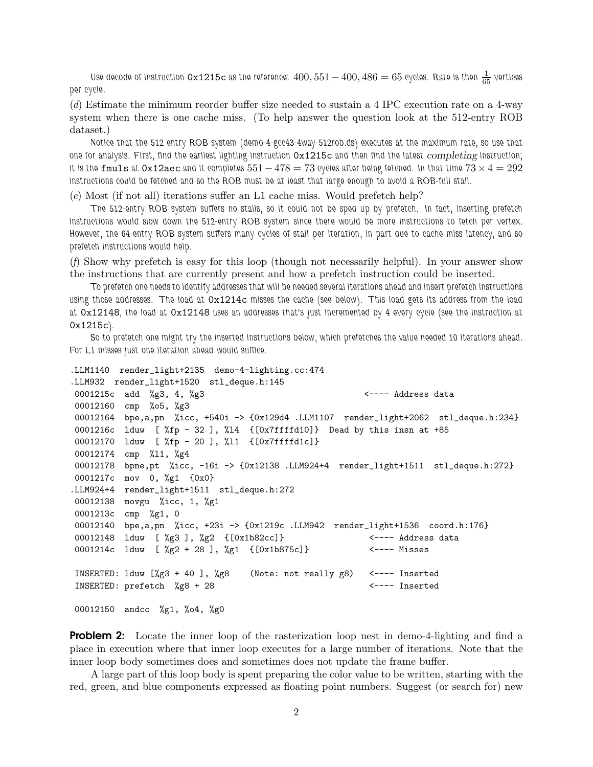Use decode of instruction  $0x1215c$  as the reference:  $400,551-400,486=65$  cycles. Rate is then  $\frac{1}{65}$  vertices per cycle.

(d) Estimate the minimum reorder buffer size needed to sustain a 4 IPC execution rate on a 4-way system when there is one cache miss. (To help answer the question look at the 512-entry ROB dataset.)

Notice that the 512 entry ROB system (demo-4-gcc43-4way-512rob.ds) executes at the maximum rate, so use that one for analysis. First, find the earliest lighting instruction  $0x1215c$  and then find the latest *completing* instruction; it is the fmuls at 0x12aec and it completes  $551 - 478 = 73$  cycles after being fetched. In that time  $73 \times 4 = 292$ instructions could be fetched and so the ROB must be at least that large enough to avoid a ROB-full stall.

(e) Most (if not all) iterations suffer an L1 cache miss. Would prefetch help?

The 512-entry ROB system suffers no stalls, so it could not be sped up by prefetch. In fact, inserting prefetch instructions would slow down the 512-entry ROB system since there would be more instructions to fetch per vertex. However, the 64-entry ROB system suffers many cycles of stall per iteration, in part due to cache miss latency, and so prefetch instructions would help.

(f) Show why prefetch is easy for this loop (though not necessarily helpful). In your answer show the instructions that are currently present and how a prefetch instruction could be inserted.

To prefetch one needs to identify addresses that will be needed several iterations ahead and insert prefetch instructions using those addresses. The load at 0x1214c misses the cache (see below). This load gets its address from the load at 0x12148, the load at 0x12148 uses an addresses that's just incremented by 4 every cycle (see the instruction at 0x1215c).

So to prefetch one might try the inserted instructions below, which prefetches the value needed 10 iterations ahead. For L1 misses just one iteration ahead would suffice.

```
.LLM1140 render_light+2135 demo-4-lighting.cc:474
.LLM932 render_light+1520 stl_deque.h:145
0001215c add %g3, 4, %g3 <---- Address data
00012160 cmp %o5, %g3
00012164 bpe,a,pn %icc, +540i -> {0x129d4 .LLM1107 render_light+2062 stl_deque.h:234}
0001216c lduw [ %fp - 32 ], %l4 {[0x7ffffd10]} Dead by this insn at +85
00012170 lduw [ %fp - 20 ], %l1 {[0x7ffffd1c]}
00012174 cmp %l1, %g4
00012178 bpne,pt %icc, -16i -> {0x12138 .LLM924+4 render_light+1511 stl_deque.h:272}
0001217c mov 0, %g1 {0x0}
.LLM924+4 render_light+1511 stl_deque.h:272
00012138 movgu %icc, 1, %g1
0001213c cmp %g1, 0
00012140 bpe,a,pn %icc, +23i -> {0x1219c .LLM942 render_light+1536 coord.h:176}
00012148 lduw [ %g3 ], %g2 {[0x1b82cc]} <---- Address data
0001214c lduw [ %g2 + 28 ], %g1 {[0x1b875c]} <---- Misses
INSERTED: lduw [%g3 + 40 ], %g8 (Note: not really g8) <---- Inserted
INSERTED: prefetch \%g8 + 28 <---- Inserted
```
00012150 andcc %g1, %o4, %g0

**Problem 2:** Locate the inner loop of the rasterization loop nest in demo-4-lighting and find a place in execution where that inner loop executes for a large number of iterations. Note that the inner loop body sometimes does and sometimes does not update the frame buffer.

A large part of this loop body is spent preparing the color value to be written, starting with the red, green, and blue components expressed as floating point numbers. Suggest (or search for) new